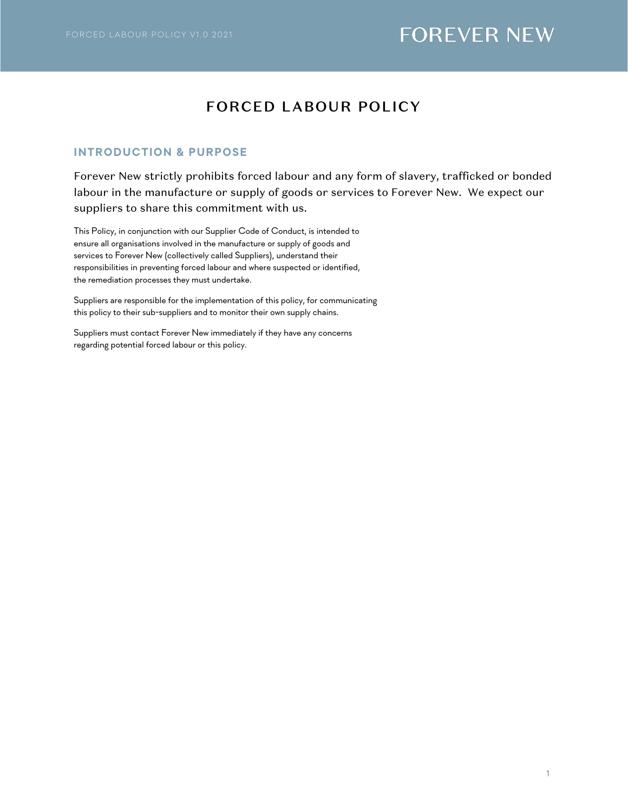## FORCED LABOUR POLICY

### **INTRODUCTION & PURPOSE**

Forever New strictly prohibits forced labour and any form of slavery, trafficked or bonded labour in the manufacture or supply of goods or services to Forever New. We expect our suppliers to share this commitment with us.

This Policy, in conjunction with our Supplier Code of Conduct, is intended to ensure all organisations involved in the manufacture or supply of goods and services to Forever New (collectively called Suppliers), understand their responsibilities in preventing forced labour and where suspected or identified, the remediation processes they must undertake.

Suppliers are responsible for the implementation of this policy, for communicating this policy to their sub-suppliers and to monitor their own supply chains.

Suppliers must contact Forever New immediately if they have any concerns regarding potential forced labour or this policy.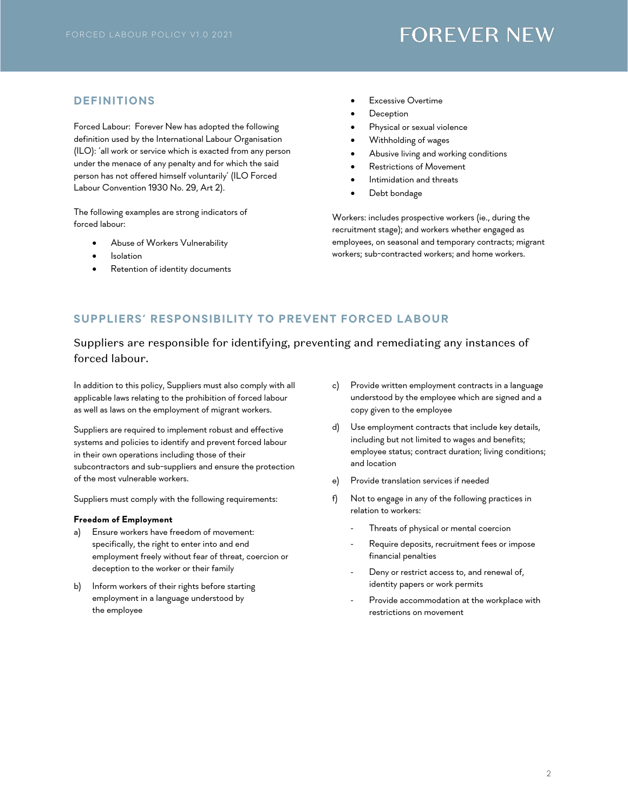### **DEFINITIONS**

Forced Labour: Forever New has adopted the following definition used by the International Labour Organisation (ILO): 'all work or service which is exacted from any person under the menace of any penalty and for which the said person has not offered himself voluntarily' (ILO Forced Labour Convention 1930 No. 29, Art 2).

The following examples are strong indicators of forced labour:

- Abuse of Workers Vulnerability
- **Isolation**
- Retention of identity documents
- **Excessive Overtime**
- **Deception**
- Physical or sexual violence
- Withholding of wages
- Abusive living and working conditions
- Restrictions of Movement
- Intimidation and threats
- Debt bondage

Workers: includes prospective workers (ie., during the recruitment stage); and workers whether engaged as employees, on seasonal and temporary contracts; migrant workers; sub-contracted workers; and home workers.

### **SUPPLIERS ' RESPONSIBILITY TO PREVENT FORCED LABOUR**

## Suppliers are responsible for identifying, preventing and remediating any instances of forced labour.

In addition to this policy, Suppliers must also comply with all applicable laws relating to the prohibition of forced labour as well as laws on the employment of migrant workers.

Suppliers are required to implement robust and effective systems and policies to identify and prevent forced labour in their own operations including those of their subcontractors and sub-suppliers and ensure the protection of the most vulnerable workers.

Suppliers must comply with the following requirements:

### **Freedom of Employment**

- a) Ensure workers have freedom of movement: specifically, the right to enter into and end employment freely without fear of threat, coercion or deception to the worker or their family
- b) Inform workers of their rights before starting employment in a language understood by the employee
- c) Provide written employment contracts in a language understood by the employee which are signed and a copy given to the employee
- d) Use employment contracts that include key details, including but not limited to wages and benefits; employee status; contract duration; living conditions; and location
- e) Provide translation services if needed
- f) Not to engage in any of the following practices in relation to workers:
	- Threats of physical or mental coercion
	- Require deposits, recruitment fees or impose financial penalties
	- Deny or restrict access to, and renewal of, identity papers or work permits
	- Provide accommodation at the workplace with restrictions on movement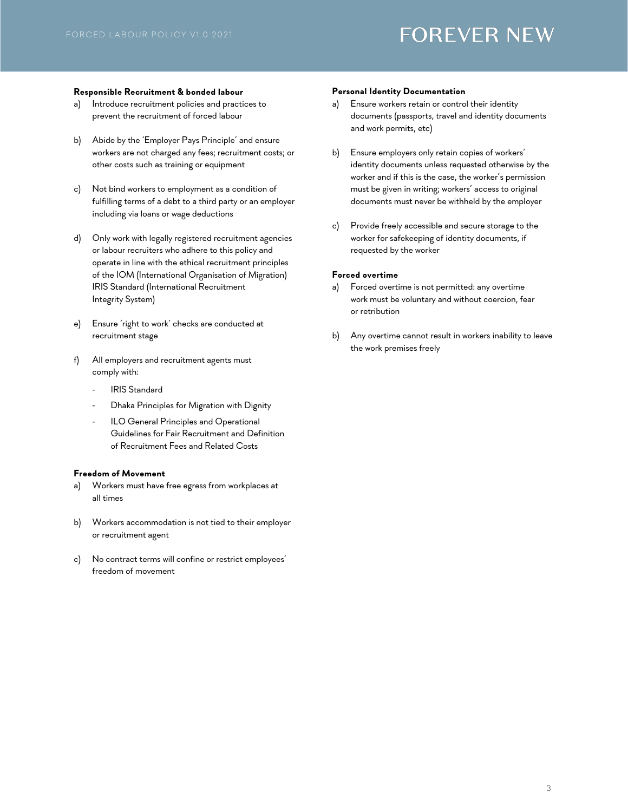#### **Responsible Recruitment & bonded labour**

- a) Introduce recruitment policies and practices to prevent the recruitment of forced labour
- b) Abide by the 'Employer Pays Principle' and ensure workers are not charged any fees; recruitment costs; or other costs such as training or equipment
- c) Not bind workers to employment as a condition of fulfilling terms of a debt to a third party or an employer including via loans or wage deductions
- d) Only work with legally registered recruitment agencies or labour recruiters who adhere to this policy and operate in line with the ethical recruitment principles of the IOM (International Organisation of Migration) IRIS Standard (International Recruitment Integrity System)
- e) Ensure 'right to work' checks are conducted at recruitment stage
- f) All employers and recruitment agents must comply with:
	- IRIS Standard
	- Dhaka Principles for Migration with Dignity
	- ILO General Principles and Operational Guidelines for Fair Recruitment and Definition of Recruitment Fees and Related Costs

#### **Freedom of Movement**

- a) Workers must have free egress from workplaces at all times
- b) Workers accommodation is not tied to their employer or recruitment agent
- c) No contract terms will confine or restrict employees' freedom of movement

#### **Personal Identity Documentation**

- a) Ensure workers retain or control their identity documents (passports, travel and identity documents and work permits, etc)
- b) Ensure employers only retain copies of workers' identity documents unless requested otherwise by the worker and if this is the case, the worker's permission must be given in writing; workers' access to original documents must never be withheld by the employer
- c) Provide freely accessible and secure storage to the worker for safekeeping of identity documents, if requested by the worker

#### **Forced overtime**

- a) Forced overtime is not permitted: any overtime work must be voluntary and without coercion, fear or retribution
- b) Any overtime cannot result in workers inability to leave the work premises freely